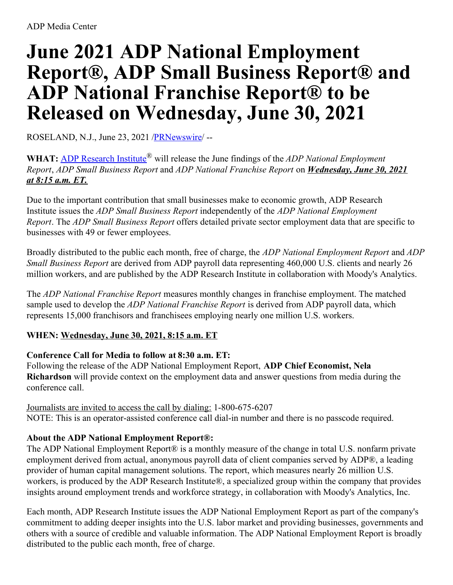# **June 2021 ADP National Employment Report®, ADP Small Business Report® and ADP National Franchise Report® to be Released on Wednesday, June 30, 2021**

ROSELAND, N.J., June 23, 2021 [/PRNewswire](http://www.prnewswire.com/)/ --

**WHAT:** ADP [Research](https://c212.net/c/link/?t=0&l=en&o=3204599-1&h=2457709646&u=https%3A%2F%2Fc212.net%2Fc%2Flink%2F%3Ft%3D0%26l%3Den%26o%3D2591089-1%26h%3D292290568%26u%3Dhttp%253A%252F%252Fwww.adp.com%252Ftools-and-resources%252Fadp-research-institute.aspx%26a%3DADP%2BResearch%2BInstitute&a=ADP+Research+Institute) Institute® will release the June findings of the *ADP National Employment Report*, *ADP Small Business Report* and *ADP National Franchise Report* on *Wednesday, June 30, 2021 at 8:15 a.m. ET.*

Due to the important contribution that small businesses make to economic growth, ADP Research Institute issues the *ADP Small Business Report* independently of the *ADP National Employment Report*. The *ADP Small Business Report* offers detailed private sector employment data that are specific to businesses with 49 or fewer employees.

Broadly distributed to the public each month, free of charge, the *ADP National Employment Report* and *ADP Small Business Report* are derived from ADP payroll data representing 460,000 U.S. clients and nearly 26 million workers, and are published by the ADP Research Institute in collaboration with Moody's Analytics.

The *ADP National Franchise Report* measures monthly changes in franchise employment. The matched sample used to develop the *ADP National Franchise Report* is derived from ADP payroll data, which represents 15,000 franchisors and franchisees employing nearly one million U.S. workers.

# **WHEN: Wednesday, June 30, 2021, 8:15 a.m. ET**

# **Conference Call for Media to follow at 8:30 a.m. ET:**

Following the release of the ADP National Employment Report, **ADP Chief Economist, Nela Richardson** will provide context on the employment data and answer questions from media during the conference call.

Journalists are invited to access the call by dialing: 1-800-675-6207 NOTE: This is an operator-assisted conference call dial-in number and there is no passcode required.

# **About the ADP National Employment Report®:**

The ADP National Employment Report® is a monthly measure of the change in total U.S. nonfarm private employment derived from actual, anonymous payroll data of client companies served by ADP®, a leading provider of human capital management solutions. The report, which measures nearly 26 million U.S. workers, is produced by the ADP Research Institute®, a specialized group within the company that provides insights around employment trends and workforce strategy, in collaboration with Moody's Analytics, Inc.

Each month, ADP Research Institute issues the ADP National Employment Report as part of the company's commitment to adding deeper insights into the U.S. labor market and providing businesses, governments and others with a source of credible and valuable information. The ADP National Employment Report is broadly distributed to the public each month, free of charge.